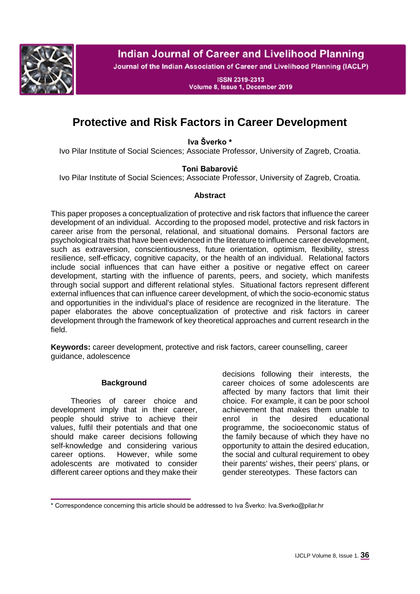

# **Indian Journal of Career and Livelihood Planning**

Journal of the Indian Association of Career and Livelihood Planning (IACLP)

**ISSN 2319-2313** Volume 8, Issue 1, December 2019

# **Protective and Risk Factors in Career Development**

**Iva Šverko \***

Ivo Pilar Institute of Social Sciences; Associate Professor, University of Zagreb, Croatia.

### **Toni Babarović**

Ivo Pilar Institute of Social Sciences; Associate Professor, University of Zagreb, Croatia.

#### **Abstract**

This paper proposes a conceptualization of protective and risk factors that influence the career development of an individual. According to the proposed model, protective and risk factors in career arise from the personal, relational, and situational domains. Personal factors are psychological traits that have been evidenced in the literature to influence career development, such as extraversion, conscientiousness, future orientation, optimism, flexibility, stress resilience, self-efficacy, cognitive capacity, or the health of an individual. Relational factors include social influences that can have either a positive or negative effect on career development, starting with the influence of parents, peers, and society, which manifests through social support and different relational styles. Situational factors represent different external influences that can influence career development, of which the socio-economic status and opportunities in the individual's place of residence are recognized in the literature. The paper elaborates the above conceptualization of protective and risk factors in career development through the framework of key theoretical approaches and current research in the field.

**Keywords:** career development, protective and risk factors, career counselling, career guidance, adolescence

### **Background**

Theories of career choice and development imply that in their career, people should strive to achieve their values, fulfil their potentials and that one should make career decisions following self-knowledge and considering various career options. However, while some adolescents are motivated to consider different career options and they make their

decisions following their interests, the career choices of some adolescents are affected by many factors that limit their choice. For example, it can be poor school achievement that makes them unable to enrol in the desired educational programme, the socioeconomic status of the family because of which they have no opportunity to attain the desired education, the social and cultural requirement to obey their parents' wishes, their peers' plans, or gender stereotypes. These factors can

<sup>\*</sup> Correspondence concerning this article should be addressed to Iva Šverko: Iva.Sverko@pilar.hr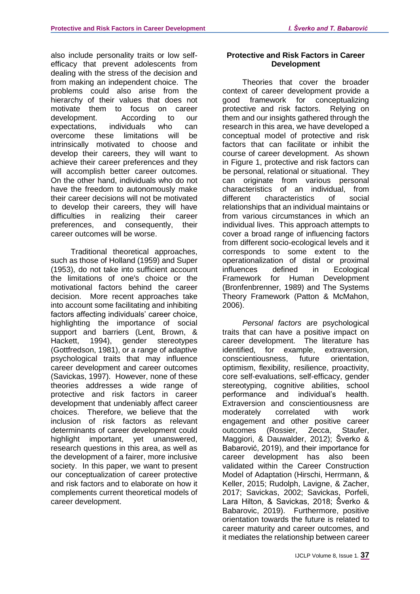also include personality traits or low selfefficacy that prevent adolescents from dealing with the stress of the decision and from making an independent choice. The problems could also arise from the hierarchy of their values that does not motivate them to focus on career development. According to our expectations, individuals who can overcome these limitations will be intrinsically motivated to choose and develop their careers, they will want to achieve their career preferences and they will accomplish better career outcomes. On the other hand, individuals who do not have the freedom to autonomously make their career decisions will not be motivated to develop their careers, they will have difficulties in realizing their career preferences, and consequently, their career outcomes will be worse.

Traditional theoretical approaches, such as those of Holland (1959) and Super (1953), do not take into sufficient account the limitations of one's choice or the motivational factors behind the career decision. More recent approaches take into account some facilitating and inhibiting factors affecting individuals' career choice, highlighting the importance of social support and barriers (Lent, Brown, & Hackett, 1994), gender stereotypes (Gottfredson, 1981), or a range of adaptive psychological traits that may influence career development and career outcomes (Savickas, 1997). However, none of these theories addresses a wide range of protective and risk factors in career development that undeniably affect career choices. Therefore, we believe that the inclusion of risk factors as relevant determinants of career development could highlight important, yet unanswered, research questions in this area, as well as the development of a fairer, more inclusive society. In this paper, we want to present our conceptualization of career protective and risk factors and to elaborate on how it complements current theoretical models of career development.

#### **Protective and Risk Factors in Career Development**

Theories that cover the broader context of career development provide a good framework for conceptualizing protective and risk factors. Relying on them and our insights gathered through the research in this area, we have developed a conceptual model of protective and risk factors that can facilitate or inhibit the course of career development. As shown in Figure 1, protective and risk factors can be personal, relational or situational. They can originate from various personal characteristics of an individual, from different characteristics of social relationships that an individual maintains or from various circumstances in which an individual lives. This approach attempts to cover a broad range of influencing factors from different socio-ecological levels and it corresponds to some extent to the operationalization of distal or proximal influences defined in Ecological Framework for Human Development (Bronfenbrenner, 1989) and The Systems Theory Framework (Patton & McMahon, 2006).

*Personal factors* are psychological traits that can have a positive impact on career development. The literature has identified, for example, extraversion, conscientiousness, future orientation, optimism, flexibility, resilience, proactivity, core self-evaluations, self-efficacy, gender stereotyping, cognitive abilities, school performance and individual's health. Extraversion and conscientiousness are moderately correlated with work engagement and other positive career outcomes (Rossier, Zecca, Staufer, Maggiori, & Dauwalder, 2012); Šverko & Babarović, 2019), and their importance for career development has also been validated within the Career Construction Model of Adaptation (Hirschi, Herrmann, & Keller, 2015; Rudolph, Lavigne, & Zacher, 2017; Savickas, 2002; Savickas, Porfeli, Lara Hilton, & Savickas, 2018; Šverko & Babarovic, 2019). Furthermore, positive orientation towards the future is related to career maturity and career outcomes, and it mediates the relationship between career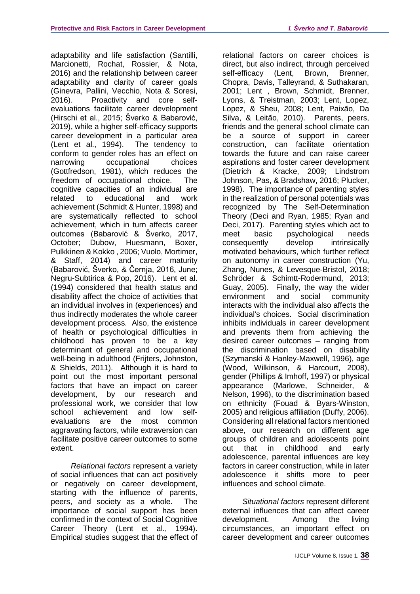adaptability and life satisfaction (Santilli, Marcionetti, Rochat, Rossier, & Nota, 2016) and the relationship between career adaptability and clarity of career goals (Ginevra, Pallini, Vecchio, Nota & Soresi, 2016). Proactivity and core selfevaluations facilitate career development (Hirschi et al., 2015; Šverko & Babarović, 2019), while a higher self-efficacy supports career development in a particular area (Lent et al., 1994). The tendency to conform to gender roles has an effect on narrowing occupational choices (Gottfredson, 1981), which reduces the freedom of occupational choice. The cognitive capacities of an individual are related to educational and work achievement (Schmidt & Hunter, 1998) and are systematically reflected to school achievement, which in turn affects career outcomes (Babarović & Šverko, 2017, October; Dubow, Huesmann, Boxer, Pulkkinen & Kokko , 2006; Vuolo, Mortimer, & Staff, 2014) and career maturity (Babarović, Šverko, & Černja, 2016, June; Negru-Subtirica & Pop, 2016). Lent et al. (1994) considered that health status and disability affect the choice of activities that an individual involves in (experiences) and thus indirectly moderates the whole career development process. Also, the existence of health or psychological difficulties in childhood has proven to be a key determinant of general and occupational well-being in adulthood (Frijters, Johnston, & Shields, 2011). Although it is hard to point out the most important personal factors that have an impact on career development, by our research and professional work, we consider that low school achievement and low selfevaluations are the most common aggravating factors, while extraversion can facilitate positive career outcomes to some extent.

*Relational factors* represent a variety of social influences that can act positively or negatively on career development, starting with the influence of parents, peers, and society as a whole. The importance of social support has been confirmed in the context of Social Cognitive Career Theory (Lent et al., 1994). Empirical studies suggest that the effect of

relational factors on career choices is direct, but also indirect, through perceived self-efficacy (Lent, Brown, Brenner, Chopra, Davis, Talleyrand, & Suthakaran, 2001; Lent , Brown, Schmidt, Brenner, Lyons, & Treistman, 2003; Lent, Lopez, Lopez, & Sheu, 2008; Lent, Paixão, Da Silva, & Leitão, 2010). Parents, peers, friends and the general school climate can be a source of support in career construction, can facilitate orientation towards the future and can raise career aspirations and foster career development (Dietrich & Kracke, 2009; Lindstrom Johnson, Pas, & Bradshaw, 2016; Plucker, 1998). The importance of parenting styles in the realization of personal potentials was recognized by The Self-Determination Theory (Deci and Ryan, 1985; Ryan and Deci, 2017). Parenting styles which act to meet basic psychological needs consequently develop intrinsically motivated behaviours, which further reflect on autonomy in career construction (Yu, Zhang, Nunes, & Levesque-Bristol, 2018; Schröder & Schimtt-Rodermund, 2013; Guay, 2005). Finally, the way the wider environment and social community interacts with the individual also affects the individual's choices. Social discrimination inhibits individuals in career development and prevents them from achieving the desired career outcomes – ranging from the discrimination based on disability (Szymanski & Hanley-Maxwell, 1996), age (Wood, Wilkinson, & Harcourt, 2008), gender (Phillips & Imhoff, 1997) or physical appearance (Marlowe, Schneider, & Nelson, 1996), to the discrimination based on ethnicity (Fouad & Byars-Winston, 2005) and religious affiliation (Duffy, 2006). Considering all relational factors mentioned above, our research on different age groups of children and adolescents point out that in childhood and early adolescence, parental influences are key factors in career construction, while in later adolescence it shifts more to peer influences and school climate.

*Situational factors* represent different external influences that can affect career development. Among the living circumstances, an important effect on career development and career outcomes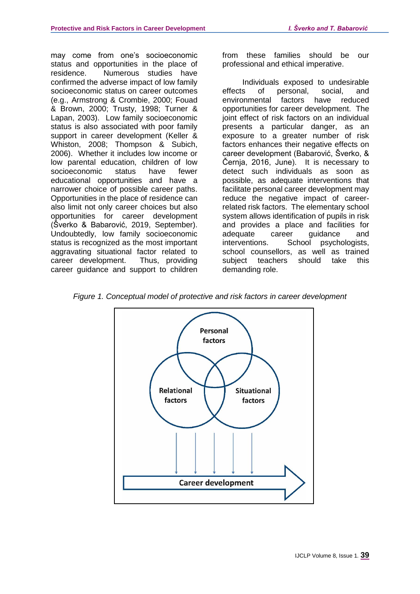may come from one's socioeconomic status and opportunities in the place of residence. Numerous studies have confirmed the adverse impact of low family socioeconomic status on career outcomes (e.g., Armstrong & Crombie, 2000; Fouad & Brown, 2000; Trusty, 1998; Turner & Lapan, 2003). Low family socioeconomic status is also associated with poor family support in career development (Keller & Whiston, 2008; Thompson & Subich, 2006). Whether it includes low income or low parental education, children of low socioeconomic status have fewer educational opportunities and have a narrower choice of possible career paths. Opportunities in the place of residence can also limit not only career choices but also opportunities for career development (Šverko & Babarović, 2019, September). Undoubtedly, low family socioeconomic status is recognized as the most important aggravating situational factor related to career development. Thus, providing career guidance and support to children

from these families should be our professional and ethical imperative.

Individuals exposed to undesirable effects of personal, social, and environmental factors have reduced opportunities for career development. The joint effect of risk factors on an individual presents a particular danger, as an exposure to a greater number of risk factors enhances their negative effects on career development (Babarović, Šverko, & Černja, 2016, June). It is necessary to detect such individuals as soon as possible, as adequate interventions that facilitate personal career development may reduce the negative impact of careerrelated risk factors. The elementary school system allows identification of pupils in risk and provides a place and facilities for adequate career guidance and interventions. School psychologists, school counsellors, as well as trained subject teachers should take this demanding role.

*Figure 1. Conceptual model of protective and risk factors in career development*

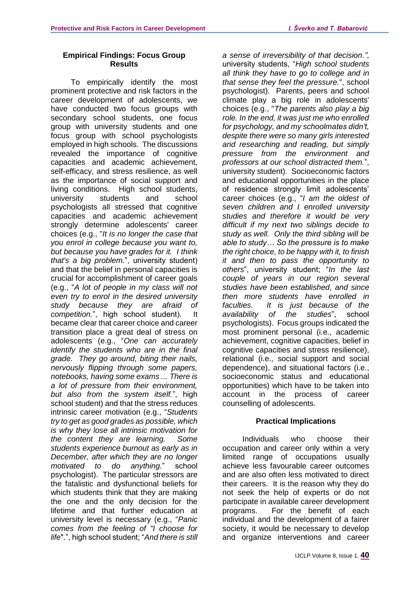#### **Empirical Findings: Focus Group Results**

To empirically identify the most prominent protective and risk factors in the career development of adolescents, we have conducted two focus groups with secondary school students, one focus group with university students and one focus group with school psychologists employed in high schools. The discussions revealed the importance of cognitive capacities and academic achievement, self-efficacy, and stress resilience, as well as the importance of social support and living conditions. High school students, university students and school psychologists all stressed that cognitive capacities and academic achievement strongly determine adolescents' career choices (e.g., "*It is no longer the case that you enrol in college because you want to, but because you have grades for it. I think that's a big problem.*", university student) and that the belief in personal capacities is crucial for accomplishment of career goals (e.g., "*A lot of people in my class will not even try to enrol in the desired university study because they are afraid of competition.*", high school student). It became clear that career choice and career transition place a great deal of stress on adolescents (e.g., "*One can accurately identify the students who are in the final grade. They go around, biting their nails, nervously flipping through some papers, notebooks, having some exams ... There is a lot of pressure from their environment, but also from the system itself.*", high school student) and that the stress reduces intrinsic career motivation (e.g., "*Students try to get as good grades as possible, which is why they lose all intrinsic motivation for the content they are learning. Some students experience burnout as early as in December, after which they are no longer motivated to do anything.*" school psychologist). The particular stressors are the fatalistic and dysfunctional beliefs for which students think that they are making the one and the only decision for the lifetime and that further education at university level is necessary (e.g., "*Panic comes from the feeling of "I choose for life*".", high school student; "*And there is still* 

*a sense of irreversibility of that decision."*, university students, "*High school students all think they have to go to college and in that sense they feel the pressure.*", school psychologist). Parents, peers and school climate play a big role in adolescents' choices (e.g., "*The parents also play a big role. In the end, it was just me who enrolled for psychology, and my schoolmates didn't, despite there were so many girls interested and researching and reading, but simply pressure from the environment and professors at our school distracted them.*", university student). Socioeconomic factors and educational opportunities in the place of residence strongly limit adolescents' career choices (e.g., "*I am the oldest of seven children and I enrolled university studies and therefore it would be very difficult if my next two siblings decide to study as well. Only the third sibling will be able to study… So the pressure is to make the right choice, to be happy with it, to finish it and then to pass the opportunity to others*", university student; "*In the last couple of years in our region several studies have been established, and since then more students have enrolled in faculties. It is just because of the availability of the studies*", school psychologists). Focus groups indicated the most prominent personal (i.e., academic achievement, cognitive capacities, belief in cognitive capacities and stress resilience), relational (i.e., social support and social dependence), and situational factors (i.e., socioeconomic status and educational opportunities) which have to be taken into account in the process of career counselling of adolescents.

## **Practical Implications**

Individuals who choose their occupation and career only within a very limited range of occupations usually achieve less favourable career outcomes and are also often less motivated to direct their careers. It is the reason why they do not seek the help of experts or do not participate in available career development programs. For the benefit of each individual and the development of a fairer society, it would be necessary to develop and organize interventions and career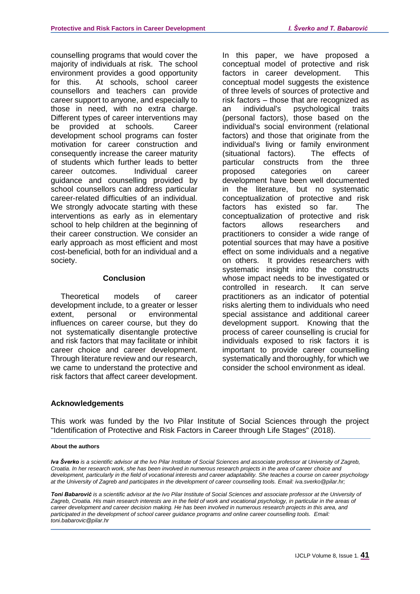counselling programs that would cover the majority of individuals at risk. The school environment provides a good opportunity for this. At schools, school career counsellors and teachers can provide career support to anyone, and especially to those in need, with no extra charge. Different types of career interventions may be provided at schools. Career development school programs can foster motivation for career construction and consequently increase the career maturity of students which further leads to better career outcomes. Individual career guidance and counselling provided by school counsellors can address particular career-related difficulties of an individual. We strongly advocate starting with these interventions as early as in elementary school to help children at the beginning of their career construction. We consider an early approach as most efficient and most cost-beneficial, both for an individual and a society.

#### **Conclusion**

Theoretical models of career development include, to a greater or lesser extent, personal or environmental influences on career course, but they do not systematically disentangle protective and risk factors that may facilitate or inhibit career choice and career development. Through literature review and our research, we came to understand the protective and risk factors that affect career development. In this paper, we have proposed a conceptual model of protective and risk factors in career development. This conceptual model suggests the existence of three levels of sources of protective and risk factors – those that are recognized as an individual's psychological traits (personal factors), those based on the individual's social environment (relational factors) and those that originate from the individual's living or family environment (situational factors). The effects of particular constructs from the three proposed categories on career development have been well documented in the literature, but no systematic conceptualization of protective and risk factors has existed so far. The conceptualization of protective and risk factors allows researchers and practitioners to consider a wide range of potential sources that may have a positive effect on some individuals and a negative on others. It provides researchers with systematic insight into the constructs whose impact needs to be investigated or controlled in research. It can serve practitioners as an indicator of potential risks alerting them to individuals who need special assistance and additional career development support. Knowing that the process of career counselling is crucial for individuals exposed to risk factors it is important to provide career counselling systematically and thoroughly, for which we consider the school environment as ideal.

### **Acknowledgements**

This work was funded by the Ivo Pilar Institute of Social Sciences through the project "Identification of Protective and Risk Factors in Career through Life Stages" (2018).

#### **About the authors**

*Iva Šverko is a scientific advisor at the Ivo Pilar Institute of Social Sciences and associate professor at University of Zagreb, Croatia. In her research work, she has been involved in numerous research projects in the area of career choice and development, particularly in the field of vocational interests and career adaptability. She teaches a course on career psychology at the University of Zagreb and participates in the development of career counselling tools. Email: iva.sverko@pilar.hr;*

*Toni Babarović is a scientific advisor at the Ivo Pilar Institute of Social Sciences and associate professor at the University of Zagreb, Croatia. His main research interests are in the field of work and vocational psychology, in particular in the areas of career development and career decision making. He has been involved in numerous research projects in this area, and participated in the development of school career guidance programs and online career counselling tools. Email: toni.babarovic@pilar.hr*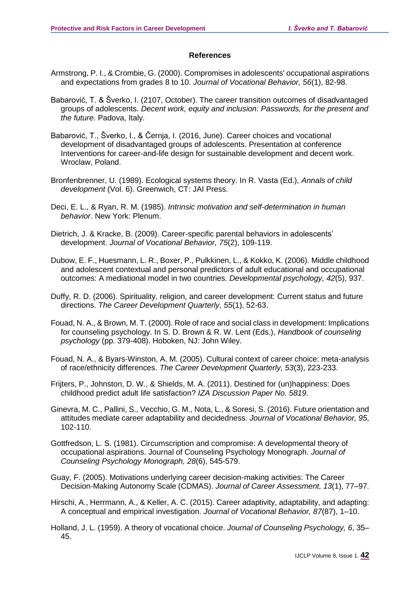#### **References**

- Armstrong, P. I., & Crombie, G. (2000). Compromises in adolescents' occupational aspirations and expectations from grades 8 to 10. *Journal of Vocational Behavior, 56*(1), 82-98.
- Babarović, T. & Šverko, I. (2107, October). The career transition outcomes of disadvantaged groups of adolescents. *Decent work, equity and inclusion: Passwords, for the present and the future*. Padova, Italy.
- Babarović, T., Šverko, I., & Černja, I. (2016, June). Career choices and vocational development of disadvantaged groups of adolescents. Presentation at conference Interventions for career-and-life design for sustainable development and decent work. Wroclaw, Poland.
- Bronfenbrenner, U. (1989). Ecological systems theory. In R. Vasta (Ed.), *Annals of child development* (Vol. 6). Greenwich, CT: JAI Press.
- Deci, E. L., & Ryan, R. M. (1985). *Intrinsic motivation and self-determination in human behavior*. New York: Plenum.
- Dietrich, J. & Kracke, B. (2009). Career-specific parental behaviors in adolescents' development. *Journal of Vocational Behavior, 75*(2), 109-119.
- Dubow, E. F., Huesmann, L. R., Boxer, P., Pulkkinen, L., & Kokko, K. (2006). Middle childhood and adolescent contextual and personal predictors of adult educational and occupational outcomes: A mediational model in two countries. *Developmental psychology, 42*(5), 937.
- Duffy, R. D. (2006). Spirituality, religion, and career development: Current status and future directions. *The Career Development Quarterly, 55*(1), 52-63.
- Fouad, N. A., & Brown, M. T. (2000). Role of race and social class in development: Implications for counseling psychology. In S. D. Brown & R. W. Lent (Eds.), *Handbook of counseling psychology* (pp. 379-408). Hoboken, NJ: John Wiley.
- Fouad, N. A., & Byars‐Winston, A. M. (2005). Cultural context of career choice: meta‐analysis of race/ethnicity differences. *The Career Development Quarterly, 53*(3), 223-233.
- Frijters, P., Johnston, D. W., & Shields, M. A. (2011). Destined for (un)happiness: Does childhood predict adult life satisfaction? *IZA Discussion Paper No. 5819*.
- Ginevra, M. C., Pallini, S., Vecchio, G. M., Nota, L., & Soresi, S. (2016). Future orientation and attitudes mediate career adaptability and decidedness*. Journal of Vocational Behavior, 95*, 102-110.
- Gottfredson, L. S. (1981). Circumscription and compromise: A developmental theory of occupational aspirations. Journal of Counseling Psychology Monograph. *Journal of Counseling Psychology Monograph, 28*(6), 545-579.
- Guay, F. (2005). Motivations underlying career decision-making activities: The Career Decision-Making Autonomy Scale (CDMAS). *Journal of Career Assessment, 13*(1), 77–97.
- Hirschi, A., Herrmann, A., & Keller, A. C. (2015). Career adaptivity, adaptability, and adapting: A conceptual and empirical investigation. *Journal of Vocational Behavior, 87*(87), 1–10.
- Holland, J. L. (1959). A theory of vocational choice. *Journal of Counseling Psychology, 6*, 35– 45.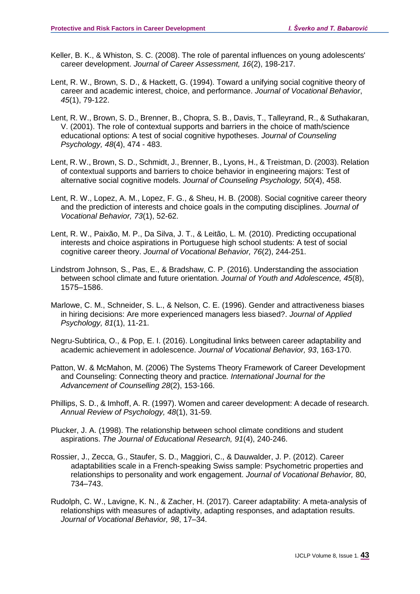- Keller, B. K., & Whiston, S. C. (2008). The role of parental influences on young adolescents' career development. *Journal of Career Assessment, 16*(2), 198-217.
- Lent, R. W., Brown, S. D., & Hackett, G. (1994). Toward a unifying social cognitive theory of career and academic interest, choice, and performance. *Journal of Vocational Behavior*, *45*(1), 79-122.
- Lent, R. W., Brown, S. D., Brenner, B., Chopra, S. B., Davis, T., Talleyrand, R., & Suthakaran, V. (2001). The role of contextual supports and barriers in the choice of math/science educational options: A test of social cognitive hypotheses. *Journal of Counseling Psychology, 48*(4), 474 - 483.
- Lent, R. W., Brown, S. D., Schmidt, J., Brenner, B., Lyons, H., & Treistman, D. (2003). Relation of contextual supports and barriers to choice behavior in engineering majors: Test of alternative social cognitive models. *Journal of Counseling Psychology, 50*(4), 458.
- Lent, R. W., Lopez, A. M., Lopez, F. G., & Sheu, H. B. (2008). Social cognitive career theory and the prediction of interests and choice goals in the computing disciplines. *Journal of Vocational Behavior, 73*(1), 52-62.
- Lent, R. W., Paixão, M. P., Da Silva, J. T., & Leitão, L. M. (2010). Predicting occupational interests and choice aspirations in Portuguese high school students: A test of social cognitive career theory. *Journal of Vocational Behavior, 76*(2), 244-251.
- Lindstrom Johnson, S., Pas, E., & Bradshaw, C. P. (2016). Understanding the association between school climate and future orientation. *Journal of Youth and Adolescence, 45*(8), 1575–1586.
- Marlowe, C. M., Schneider, S. L., & Nelson, C. E. (1996). Gender and attractiveness biases in hiring decisions: Are more experienced managers less biased?. *Journal of Applied Psychology, 81*(1), 11-21.
- Negru-Subtirica, O., & Pop, E. I. (2016). Longitudinal links between career adaptability and academic achievement in adolescence. *Journal of Vocational Behavior, 93*, 163-170.
- Patton, W. & McMahon, M. (2006) The Systems Theory Framework of Career Development and Counseling: Connecting theory and practice*. International Journal for the Advancement of Counselling 28*(2), 153-166.
- Phillips, S. D., & Imhoff, A. R. (1997). Women and career development: A decade of research. *Annual Review of Psychology, 48*(1), 31-59.
- Plucker, J. A. (1998). The relationship between school climate conditions and student aspirations. *The Journal of Educational Research, 91*(4), 240-246.
- Rossier, J., Zecca, G., Staufer, S. D., Maggiori, C., & Dauwalder, J. P. (2012). Career adaptabilities scale in a French-speaking Swiss sample: Psychometric properties and relationships to personality and work engagement. *Journal of Vocational Behavior,* 80, 734–743.
- Rudolph, C. W., Lavigne, K. N., & Zacher, H. (2017). Career adaptability: A meta-analysis of relationships with measures of adaptivity, adapting responses, and adaptation results. *Journal of Vocational Behavior, 98*, 17–34.